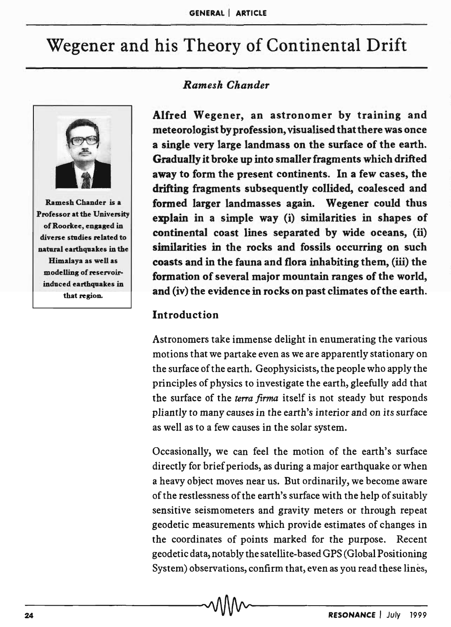# Wegener and his Theory of Continental Drift



Ramesh Chander is a Professor at the University of Roorkee, engaged in diverse studies related to natural earthquakes in the Himalaya as well as modelling of reservoirinduced earthquakes in that region.

# *Ramesh Chander*

Alfred Wegener, an astronomer by training and meteorologist by profession, visualised that there was once a single very large landmass on the surface of the earth. Gradually it broke up into smaller fragments which drifted away to form the present continents. In a few cases, the drifting fragments subsequently collided, coalesced and formed larger landmasses again. Wegener could thus explain in a simple way (i) similarities in shapes of continental coast lines separated by wide oceans, (ii) similarities in the rocks and fossils occurring on such coasts and in the fauna and flora inhabiting them, (iii) the formation of several major mountain ranges of the world, and (iv) the evidence in rocks on past climates of the earth.

#### Introduction

Astronomers take immense delight in enumerating the various motions that we partake even as we are apparently stationary on the surface of the earth. Geophysicists, the people who apply the principles of physics to investigate the earth, gleefully add that the surface of the *terra firma* itself is not steady but responds pliantly to many causes in the earth's interior and on *its* surface as well as to a few causes in the solar system.

Occasionally, we can feel the motion of the earth's surface directly for brief periods, as during a major earthquake or when a heavy object moves near us. But ordinarily, we become aware of the restlessness of the earth's surface with the help of suitably sensitive seismometers and gravity meters or through repeat geodetic measurements which provide estimates of changes in the coordinates of points marked for the purpose. Recent geodetic data, notably the satellite-based GPS (Global Positioning System) observations, confirm that, even as you read these lines,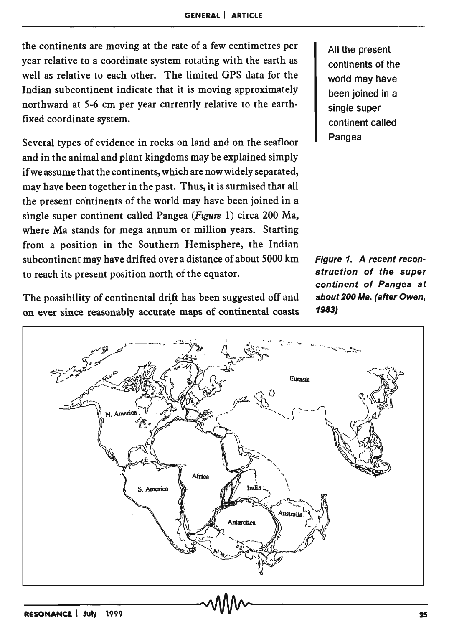the continents are moving at the rate of a few centimetres per year relative to a coordinate system rotating with the earth as well as relative to each other. The limited GPS data for the Indian subcontinent indicate that it is moving approximately northward at 5-6 cm per year currently relative to the earthfixed coordinate system.

Several types of evidence in rocks on land and on the seafloor and in the animal and plant kingdoms may be explained simply if we assume that the continents, which are now widely separated, may have been together in the past. Thus, it is surmised that all the present continents of the world may have been joined in a single super continent called Pangea *(Figure* 1) circa 200 Ma, where Ma stands for mega annum or million years. Starting from a position in the Southern Hemisphere, the Indian subcontinent may have drifted over a distance of about 5000 km to reach its present position north of the equator.

The possibility of continental drift has been suggested off and on ever since reasonably accurate maps of continental coasts All the present continents of the world may have been joined in a single super continent called Pangea

Figure 1. A recent reconstruction of the super continent of Pangea at about 200 Ma. (after Owen, 1983)

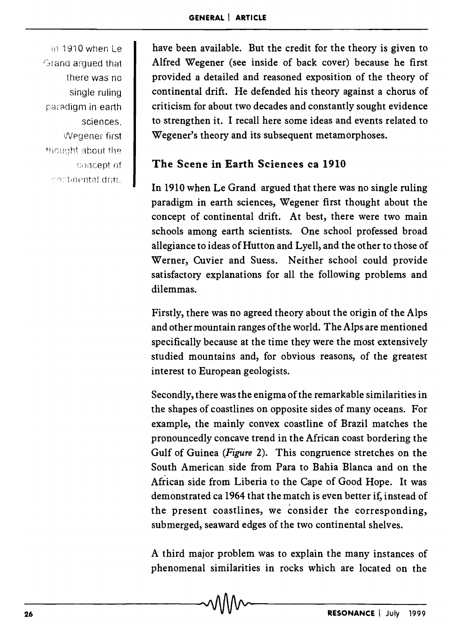in 1910 when Le Grand argued that there was no single ruling paradigm in earth sciences, Wegener first thought about the concept of continental drift.

have been available. But the credit for the theory is given to Alfred Wegener (see inside of back cover) because he first provided a detailed and reasoned exposition of the theory of continental drift. He defended his theory against a chorus of criticism for about two decades and constantly sought evidence to strengthen it. I recall here some ideas and events related to Wegener's theory and its subsequent metamorphoses.

# The Scene in Earth Sciences ca 1910

In 1910 when Le Grand argued that there was no single ruling paradigm in earth sciences, Wegener first thought about the concept of continental drift. At best, there were two main schools among earth scientists. One school professed broad allegiance to ideas of Hutton and Lyell, and the other to those of Werner, Cuvier and Suess. Neither school could provide satisfactory explanations for all the following problems and dilemmas.

Firstly, there was no agreed theory about the origin of the Alps and other mountain ranges of the world. The Alps are mentioned specifically because at the time they were the most extensively studied mountains and, for obvious reasons, of the greatest interest to European geologists.

Secondly, there was the enigma of the remarkable similarities in the shapes of coastlines on opposite sides of many oceans. For example, the mainly convex coastline of Brazil matches the pronouncedly concave trend in the African coast bordering the Gulf of Guinea *(Figure* 2). This congruence stretches on the South American side from Para to Bahia Blanca and on the African side from Liberia to the Cape of Good Hope. It was demonstrated ca 1964 that the match is even better if, instead of the present coastlines, we consider the corresponding, submerged, seaward edges of the two continental shelves.

A third major problem was to explain the many instances of phenomenal similarities in rocks which are located on the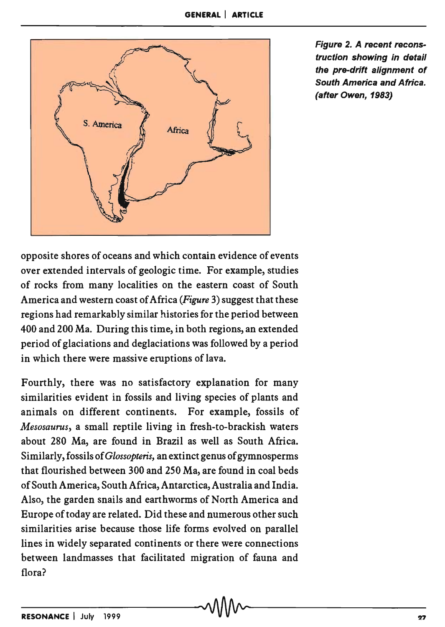

Figure 2. A recent reconstruction showing in detail the pre-drift alignment of South America and Africa. (after Owen, 1983)

opposite shores of oceans and which contain evidence of events over extended intervals of geologic time. For example, studies of rocks from many localities on the eastern coast of South America and western coast of Africa *(Figure* 3) suggest that these regions had remarkably similar histories for the period between 400 and 200 Ma. During this time, in both regions, an extended period of glaciations and deglaciations was followed by a period in which there were massive eruptions of lava.

Fourthly, there was no satisfactory explanation for many similarities evident in fossils and living species of plants and animals on different continents. For example, fossils of *Mesosaurus,* a small reptile living in fresh-to-brackish waters about 280 Ma, are found in Brazil as well as South Africa. Similarly, fossils of *Glossopteris,* an extinct genus of gymnosperms that flourished between 300 and 250 Ma, are found in coal beds of South America, South Africa, Antarctica, Australia and India. Also, the garden snails and earthworms of North America and Europe of today are related. Did these and numerous other such similarities arise because those life forms evolved on parallel lines in widely separated continents or there were connections between landmasses that facilitated migration of fauna and flora?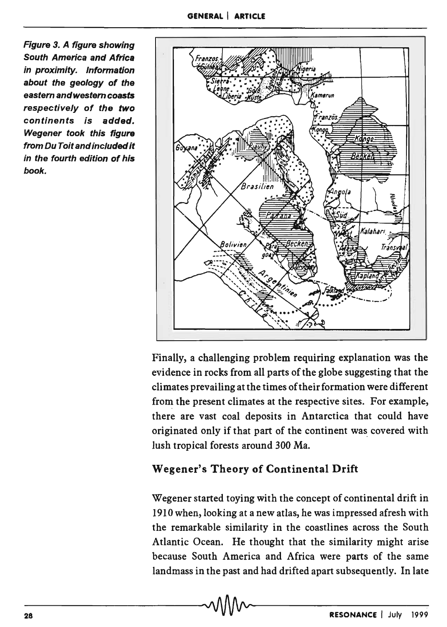Figure 3. A figure showing South America and Africa in proximity. Information about the geology of the eastern andwestem coasts respectively of the two continents is added. Wegener took this figure from Du Toit andincluded it in the fourth edition of his book.



Finally, a challenging problem requiring explanation was the evidence in rocks from all parts of the globe suggesting that the climates prevailing at the times of their formation were different from the present climates at the respective sites. For example, there are vast coal deposits in Antarctica that could have originated only if that part of the continent was. covered with lush tropical forests around 300 Ma.

# Wegener's Theory of Continental Drift

Wegener started toying with the concept of continental drift in 1910 when, looking at a new atlas, he was impressed afresh with the remarkable similarity in the coastlines across the South Atlantic Ocean. He thought that the similarity might arise because South America and Africa were parts of the same landmass in the past and had drifted apart subsequently. In late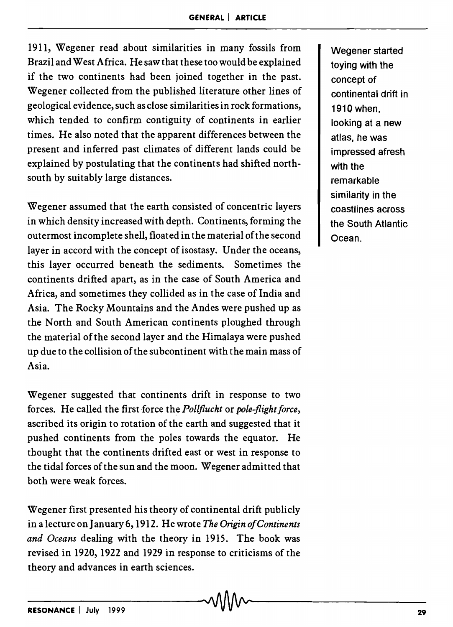1911, Wegener read about similarities in many fossils from Brazil and West Africa. He saw that these too would be explained if the two continents had been joined together in the past. Wegener collected from the published literature other lines of geological evidence, such as close similarities in rock formations, which tended to confirm contiguity of continents in earlier times. He also noted that the apparent differences between the present and inferred past climates of different lands could be explained by postulating that the continents had shifted northsouth by suitably large distances.

Wegener assumed that the earth consisted of concentric layers in which density increased with depth. Continents, forming the outermost incomplete shell, floated in the material ofthe second layer in accord with the concept of isostasy. Under the oceans, this layer occurred beneath the sediments. Sometimes the continents drifted apart, as in the case of South America and Africa, and sometimes they collided as in the case of India and Asia. The Rocky Mountains and the Andes were pushed up as the North and South American continents ploughed through the material of the second layer and the Himalaya were pushed up due to the collision of the subcontinent with the main mass of Asia.

Wegener suggested that continents drift in response to two forces. He called the first force the *Pollflucht* or *pole-flight force,*  ascribed its origin to rotation of the earth and suggested that it pushed continents from the poles towards the equator. He thought that the continents drifted east or west in response to the tidal forces of the sun and the moon. Wegener admitted that both were weak forces.

Wegener first presented his theory of continental drift publicly in a lecture on January 6, 1912. He wrote *The Origin of Continents and Oceans* dealing with the theory in 1915. The book was revised in 1920, 1922 and 1929 in response to criticisms of the theory and advances in earth sciences.

Wegener started toying with the concept of continental drift in 1910 when, looking at a new atlas, he was impressed afresh with the remarkable similarity in the coastlines across the South Atlantic Ocean.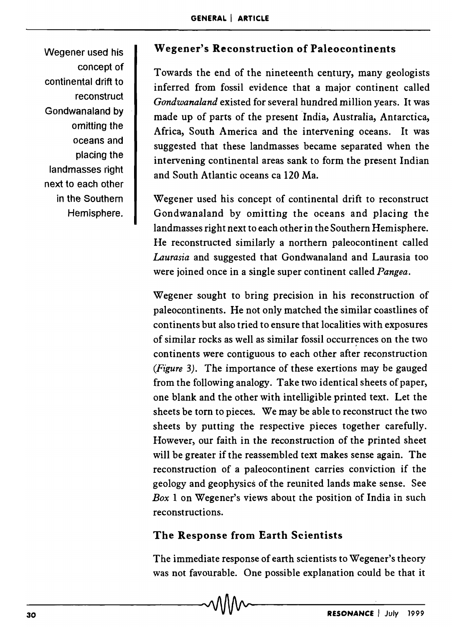Wegener used his concept of continental drift to reconstruct Gondwanaland by omitting the oceans and placing the landmasses right next to each other in the Southern Hemisphere.

# Wegener's Reconstruction of Paleocontinents

Towards the end of the nineteenth century, many geologists inferred from fossil evidence that a major continent called *Gondwanaland* existed for several hundred million years. It was made up of parts of the present 'India, Australia, Antarctica, Africa, South America and the intervening oceans. It was suggested that these landmasses became separated when the intervening continental areas sank to form the present Indian and South Atlantic oceans ca 120 Ma.

Wegener used his concept of continental drift to reconstruct Gondwanaland by omitting the oceans and placing the landmasses right next to each other in the Southern Hemisphere. He reconstructed similarly a northern paleocontinent called *Laurasia* and suggested that Gondwanaland and Laurasia too were joined once in a single super continent called *Pangea.* 

Wegener sought to bring precision in his reconstruction of paleocontinents. He not only matched the similar coastlines of continents but also tried to ensure that localities with exposures of similar rocks as well as similar fossil occurrences on the two continents were contiguous to each other after reconstruction *(Figure* 3). The importance of these exertions may be gauged from the following analogy. Take two identical sheets of paper, one blank and the other with intelligible printed text. Let the sheets be torn to pieces. We may be able to reconstruct the two sheets by putting the respective pieces together carefully. However, our faith in the reconstruction of the printed sheet will be greater if the reassembled text makes sense again. The reconstruction of a paleocontinent carries conviction if the geology and geophysics of the reunited lands make sense. See *Box* 1 on Wegener's views about the position of India in such reconstructions.

## The Response from Earth Scientists

The immediate response of earth scientists to Wegener's theory was not favourable. One possible explanation could be that it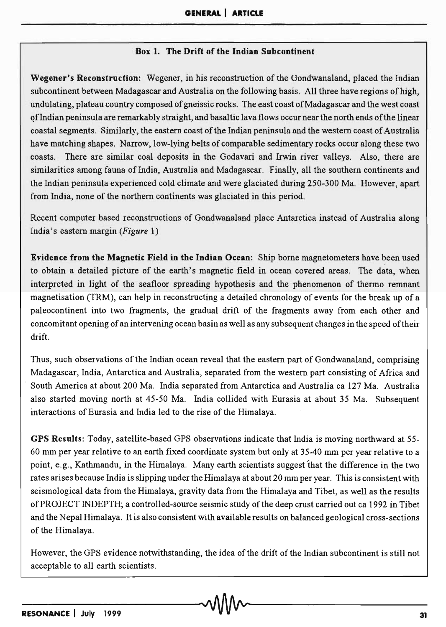#### Box 1. The Drift of the Indian Subcontinent

Wegener's Reconstruction: Wegener, in his reconstruction of the Gondwanaland, placed the Indian subcontinent between Madagascar and Australia on the following basis. All three have regions of high, undulating, plateau country composed of gneissic rocks. The east coast of Madagascar and the west coast <?fIndian peninsula are remarkably straight, and basaltic lava flows occur near the north ends of the linear coastal segments. Similarly, the eastern coast of the Indian peninsula and the western coast of Australia have matching shapes. Narrow, low-lying belts of comparable sedimentary rocks occur along these two coasts. There are similar coal deposits in the Godavari and Irwin river valleys. Also, there are similarities among fauna of India, Australia and Madagascar. Finally, all the southern continents and the Indian peninsula experienced cold climate and were glaciated during 250-300 Ma. However, apart from India, none of the northern continents was glaciated in this period.

Recent computer based reconstructions of Gondwanaland place Antarctica instead of Australia along India's eastern margin *(Figure 1)* 

Evidence from the Magnetic Field in the Indian Ocean: Ship borne magnetometers have been used to obtain a detailed picture of the earth's magnetic field in ocean covered areas. The data, when interpreted in light of the seafloor spreading hypothesis and the phenomenon of thermo remnant magnetisation (TRM), can help in reconstructing a detailed chronology of events for the break up of a paleocontinent into two fragments, the gradual drift of the fragments away from each other and concomitant opening of an intervening ocean basin as well as any subsequent changes in the speed oftheir drift.

Thus, such observations of the Indian ocean reveal that the eastern part of Gondwanaland, comprising Madagascar, India, Antarctica and Australia, separated from the western part consisting of Africa and South America at about 200 Ma. India separated from Antarctica and Australia ca 127 Ma. Australia also started moving north at 45-50 Ma. India collided with Eurasia at about 35 Ma. Subsequent interactions of Eurasia and India led to the rise of the Himalaya.

GPS Results: Today, satellite-based GPS observations indicate that India is moving northward at 55- 60 mm per year relative to an earth fixed coordinate system but only at 35-40 mm per year relative to a point, e. g., Kathmandu, in the Himalaya. Many earth scientists suggest that the difference in the two rates arises because India is slipping under the Himalaya at about 20 mm per year. This is consistent with seismological data from the Himalaya, gravity data from the Himalaya and Tibet, as well as the results of PROJECT INDEPTH; a controlled-source seismic study of the deep crust carried out ca 1992 in Tibet and the Nepal Himalaya. It is also consistent with available results on balanced geological cross-sections of the Himalaya.

However, the GPS evidence notwithstanding, the idea of the drift of the Indian subcontinent is still not acceptable to all earth scientists.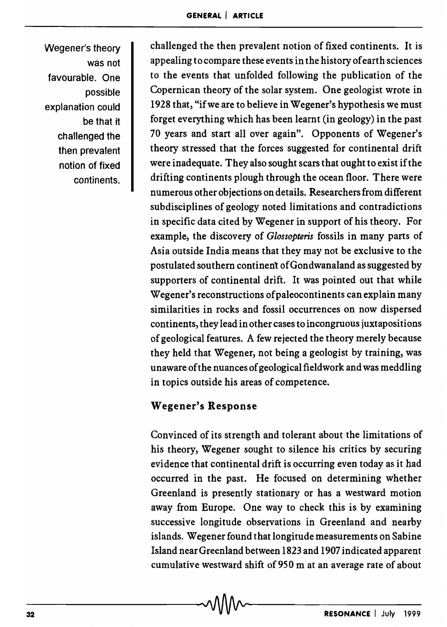Wegener's theory was not favourable. One possible explanation could be that it challenged the then prevalent notion of fixed continents.

challenged the then prevalent notion of fixed continents. It is appealing to compare these events in the history of earth sciences to the events that unfolded following the publication of the Copernican theory of the solar system. One geologist wrote in 1928 that, "if we are to believe in Wegener's hypothesis we must forget everything which has been learnt (in geology) in the past 70 years and start all over again". Opponents of Wegener's theory stressed that the forces suggested for continental drift were inadequate. They also sought scars that ought to exist if the drifting continents plough through the ocean floor. There were numerous other objections on details. Researchers from different subdisciplines of geology noted limitations and contradictions in specific data cited by Wegener in support of his theory. For example, the discovery of *Glossopteris* fossils in many parts of Asia outside India means that they may not be exclusive to the postulated southern continent of Gondwanaland as suggested by supporters of continental drift. It was pointed out that while Wegener's reconstructions of paleocontinents can explain many similarities in rocks and fossil occurrences on now dispersed continents, they lead in other cases to incongruous juxtapositions of geological features. A few rejected the theory merely because they held that Wegener, not being a geologist by training, was unaware of the nuances of geological fieldwork and was meddling in topics outside his areas of competence.

# Wegener's Response

Convinced of its strength and tolerant about the limitations of his theory, Wegener sought to silence his critics by securing evidence that continental drift is occurring even today as it had occurred in the past. He focused on determining whether Greenland is presently stationary or has a westward motion away from Europe. One way to check this is by examining successive longitude observations in Greenland and nearby islands. Wegener found that longitude measurements on Sabine Island near Greenland between 1823 and 1907 indicated apparent cumulative westward shift of9S0 m at an average rate of about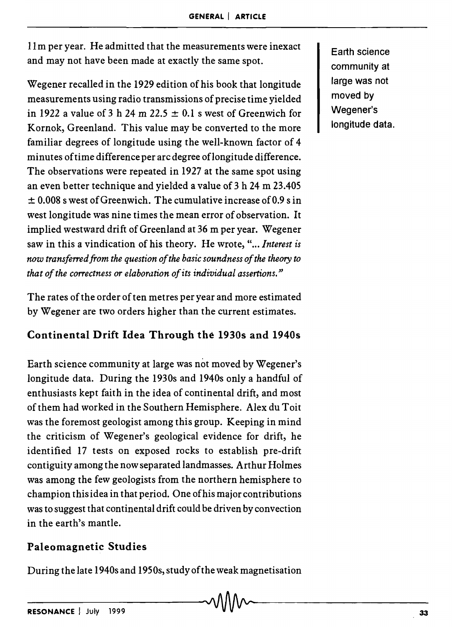11m per year. He admitted that the measurements were inexact and may not have been made at exactly the same spot.

Wegener recalled in the 1929 edition of his book that longitude measurements using radio transmissions of precise time yielded in 1922 a value of 3 h 24 m 22.5  $\pm$  0.1 s west of Greenwich for Kornok, Greenland. This value may be converted to the more familiar degrees of longitude using the well-known factor of 4 minutes of time difference per arc degree oflongitude difference. The observations were repeated in 1927 at the same spot using an even better technique and yielded a value of 3 h 24 m 23.405 ± 0.008 s west of Greenwich. The cumulative increase of 0.9 s in west longitude was nine times the mean error of observation. It implied westward drift of Greenland at 36 m per year. Wegener saw in this a vindication of his theory. He wrote, "... *Interest is now transferred from the question of the basic soundness of the theory to that of the correctness or elaboration of its individual assertions."* 

The rates of the order of ten metres per year and more estimated by Wegener are two orders higher than the current estimates.

# Continental Drift Idea Through the 1930s and 1940s

Earth science community at large was not moved by Wegener's longitude data. During the 1930s and 1940s only a handful of enthusiasts kept faith in the idea of continental drift, and most of them had worked in the Southern Hemisphere. Alex du Toit was the foremost geologist among this group. Keeping in mind the criticism of Wegener's geological evidence for drift, he identified 17 tests on exposed rocks to establish pre-drift contiguity among the now separated landmasses. Arthur Holmes was among the few geologists from the northern hemisphere to champion this idea in that period. One of his major contributions was to suggest that continental drift could be driven by convection in the earth's mantle.

# Paleomagnetic Studies

During the late 1940s and 1950s, study of the weak magnetisation

Earth science community at large was not moved by Wegener's longitude data.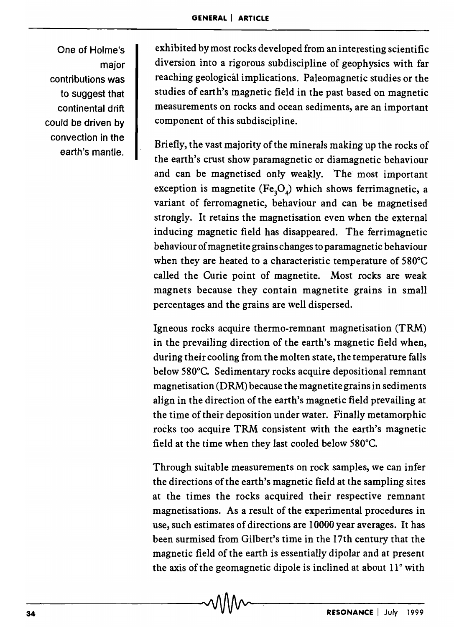One of Holme's major contributions was to suggest that continental drift could be driven by convection in the earth's mantle.

exhibited by most rocks developed from an interesting scientific diversion into a rigorous subdiscipline of geophysics with far reaching geological implications. Paleomagnetic studies or the studies of earth's magnetic field in the past based on magnetic measurements on rocks and ocean sediments, are an important component of this subdiscipline.

Briefly, the vast majority of the minerals making up the rocks of the earth's crust show paramagnetic or diamagnetic behaviour and can be magnetised only weakly. The most important exception is magnetite (Fe<sub>3</sub>O<sub>4</sub>) which shows ferrimagnetic, a variant of ferromagnetic, behaviour and can be magnetised strongly. It retains the magnetisation even when the external inducing magnetic field has disappeared. The ferrimagnetic behaviour of magnetite grains changes to paramagnetic behaviour when they are heated to a characteristic temperature of 580°C called the Curie point of magnetite. Most rocks are weak magnets because they contain magnetite grains in small percentages and the grains are well dispersed.

Igneous rocks acquire thermo-remnant magnetisation (TRM) in the prevailing direction of the earth's magnetic field when, during their cooling from the molten state, the temperature falls below 580°C. Sedimentary rocks acquire depositional remnant magnetisation (DRM) because the magnetite grains in sediments align in the direction of the earth's magnetic field prevailing at the time of their deposition under water. Finally metamorphic rocks too acquire TRM consistent with the earth's magnetic field at the time when they last cooled below 580°C.

Through suitable measurements on rock samples, we can infer the directions of the earth's magnetic field at the sampling sites at the times the rocks acquired their respective remnant magnetisations. As a result of the experimental procedures in use, such estimates of directions are 10000 year averages. It has been surmised from Gilbert's time in the 17th century that the magnetic field of the earth is essentially dipolar and at present the axis of the geomagnetic dipole is inclined at about 11° with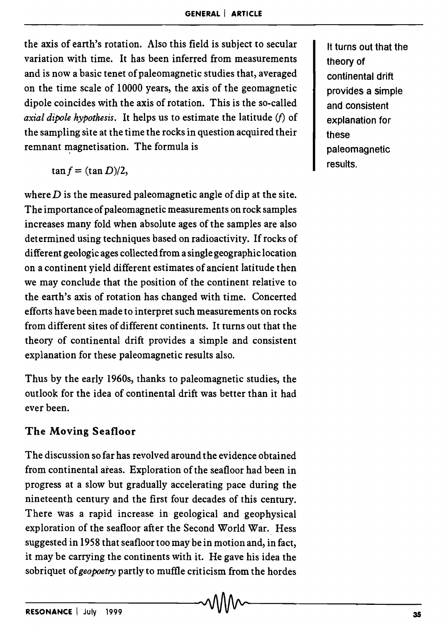the axis of earth's rotation. Also this field is subject to secular variation with time. It has been inferred from measurements and is now a basic tenet of paleomagnetic studies that, averaged on the time scale of 10000 years, the axis of the geomagnetic dipole coincides with the axis of rotation. This is the so-called *axial dipole hypothesis.* It helps us to estimate the latitude (f) of the sampling site at the time the rocks in question acquired their remnant magnetisation. The formula is

$$
\tan f = (\tan D)/2,
$$

where  $D$  is the measured paleomagnetic angle of dip at the site. The importance of paleomagnetic measurements on rock samples increases many fold when absolute ages of the samples are also determined using techniques based on radioactivity. If rocks of different geologic ages collected from a single geographic location on a continent yield different estimates of ancient latitude then we may conclude that the position of the continent relative to the earth's axis of rotation has changed with time. Concerted efforts have been made to interpret such measurements on rocks from different sites of different continents. It turns out that the theory of continental drift provides a simple and consistent explanation for these paleomagnetic results also.

Thus by the early 1960s, thanks to paleomagnetic studies, the outlook for the idea of continental drift was better than it had ever been.

## The Moving Seafloor

The discussion so far has revolved around the evidence obtained from continental areas. Exploration of the seafloor had been in progress at a slow but gradually accelerating pace during the nineteenth century and the first four decades of this century. There was a rapid increase in geological and geophysical exploration of the seafloor after the Second World War. Hess suggested in 1958 that seafloor too may be in motion and, in fact, it may be carrying the continents with it. He gave his idea the sobriquet of *geopoetry* partly to muffle criticism from the hordes

It turns out that the theory of continental drift provides a simple and consistent explanation for these paleomagnetic results.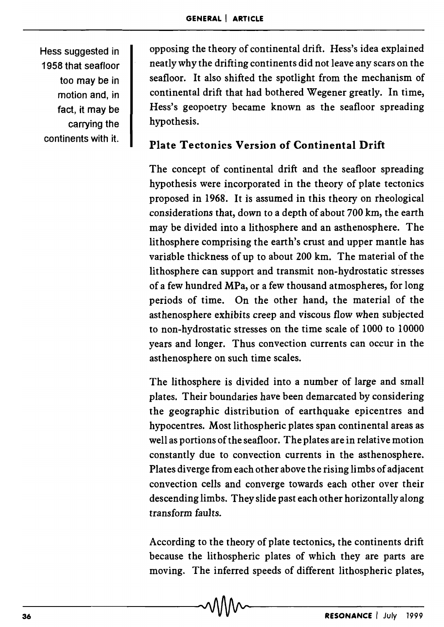Hess suggested in 1958 that seafloor too may be in motion and, in fact, it may be carrying the continents with it.

opposing the theory of continental drift. Hess's idea explained neatly why the drifting continents did not leave any scars on the seafloor. It also shifted the spotlight from the mechanism of continental drift that had bothered Wegener greatly. In time, Hess's geopoetry became known as the seafloor spreading hypothesis.

# Plate Tectonics Version of Continental Drift

The concept of continental drift and the seafloor spreading hypothesis were incorporated in the theory of plate tectonics proposed in 1968. It is assumed in this theory on rheological considerations that, down to a depth of about 700 km, the earth may be divided into a lithosphere and an asthenosphere. The lithosphere comprising the earth's crust and upper mantle has variable thickness of up to about 200 km. The material of the lithosphere can support and transmit non-hydrostatic stresses of a few hundred MPa, or a few thousand atmospheres, for long periods of time. On the other hand, the material of the asthenosphere exhibits creep and viscous flow when subjected to non-hydrostatic stresses on the time scale of 1000 to 10000 years and longer. Thus convection currents can occur in the asthenosphere on such time scales.

The lithosphere is divided into a number of large and small plates. Their boundaries have been demarcated by considering the geographic distribution of earthquake epicentres and hypocentres. Most lithospheric plates span continental areas as well as portions of the seafloor. The plates are in relative motion constantly due to convection currents in the asthenosphere. Plates diverge from each other above the rising limbs of adjacent convection cells and converge towards each other over their descending limbs. They slide past each other horizontally along transform faults.

According to the theory of plate tectonics, the continents drift because the lithospheric plates of which they are parts are moving. The inferred speeds of different lithospheric plates,<br>  $\sqrt{\frac{1}{2}}$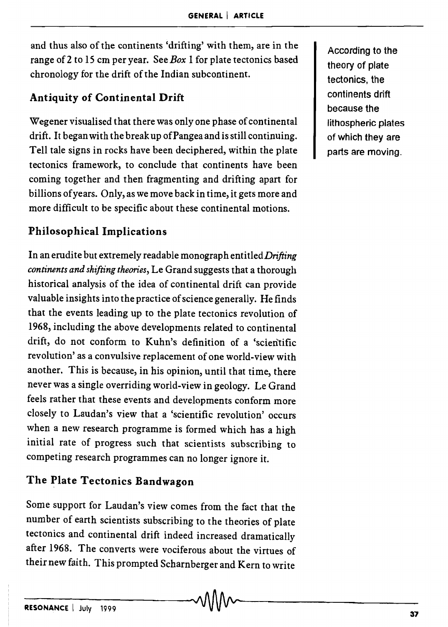and thus also of the continents 'drifting' with them, are in the range of 2 to 15 cm per year. See *Box* 1 for plate tectonics based chronology for the drift of the Indian subcontinent.

# Antiquity of Continental Drift

Wegener visualised that there was only one phase of continental drift. It began with the break up of Pangea and is still continuing. Tell tale signs in rocks have been deciphered, within the plate tectonics framework, to conclude that continents have been coming together and then fragmenting and drifting apart for billions of years. Only, as we move back in time, it gets more and more difficult to be specific about these continental motions.

# Philosophical Implications

In an erudite but extremely readable monograph entitled *Drifting continents and shifting theories,* Le Grand suggests that a thorough historical analysis of the idea of continental drift can provide valuable insights into the practice of science generally. He finds that the events leading up to the plate tectonics revolution of 1968, including the above developments related to continental drift, do not conform to Kuhn's definition of a 'scientific revolution' as a convulsive replacement of one world-view with another. This is because, in his opinion, until that time, there never was a single overriding world-view in geology. Le Grand feels rather that these events and developments conform more closely to Laudan's view that a 'scientific revolution' occurs when a new research programme is formed which has a high initial rate of progress such that scientists subscribing to competing research programmes can no longer ignore it.

# The Plate Tectonics Bandwagon

Some support for Laudan's view comes from the fact that the number of earth scientists subscribing to the theories of plate tectonics and continental drift indeed increased dramatically after 1968. The converts were vociferous about the virtues of their new faith. This prompted Scharnberger and Kern to write

According to the theory of plate tectonics, the continents drift because the lithospheric plates of which they are parts are moving.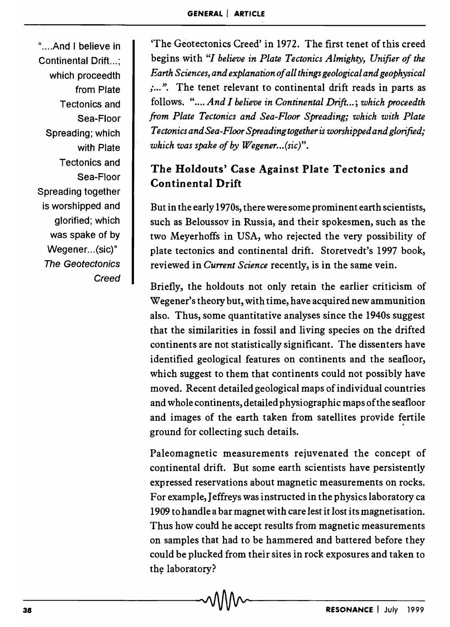"....And I believe in Continental Drift...: which proceedth from Plate Tectonics and Sea-Floor Spreading; which with Plate Tectonics and Sea-Floor Spreading together is worshipped and glorified; which was spake of by Wegener...(sic)" The Geotectonics **Creed** 

'The Geotectonics Creed' in 1972. The first tenet of this creed begins with "1 *believe in Plate Tectonics Almighty, Unifier of the Earth Sciences, and explanation of all things geological and geophysical*  :...". The tenet relevant to continental drift reads in parts as follows. ".... *And I believe in Continental Drift...; which proceedth from Plate Tectonics and Sea-Floor Spreading; which with Plate Tectonics and Sea-Floor Spreading together* is *worshipped and glorifted; which was spake of by Wegener... (sic)".* 

# The Holdouts' Case Against Plate Tectonics and Continental Drift

But in the early 1970s, there were some prominent earth scientists, such as Beloussov in Russia, and their spokesmen, such as the two Meyerhoffs in USA, who rejected the very possibility of plate tectonics and continental drift. Storetvedt's 1997 book, reviewed in *Current Science* recently, is in the same vein.

Briefly, the holdouts not only retain the earlier criticism of Wegener's theory but, with time, have acquired new ammunition also. Thus, some quantitative analyses since the 1940s suggest that the similarities in fossil and living species on the drifted continents are not statistically significant. The dissenters have identified geological features on continents and the seafloor, which suggest to them that continents could not possibly have moved. Recent detailed geological maps of individual countries and whole continents, detailed physiographic maps of the seafloor and images of the earth taken from satellites provide fertile ground for collecting such details.

Paleomagnetic measurements rejuvenated the concept of continental drift. But some earth scientists have persistently expressed reservations about magnetic measurements on rocks. For example, Jeffreys was instructed in the physics laboratory ca 1909 to handle a bar magnet with care lest it lost its magnetisation. Thus how coutd he accept results from magnetic measurements on samples that had to be hammered and battered before they could be plucked from their sites in rock exposures and taken to the laboratory?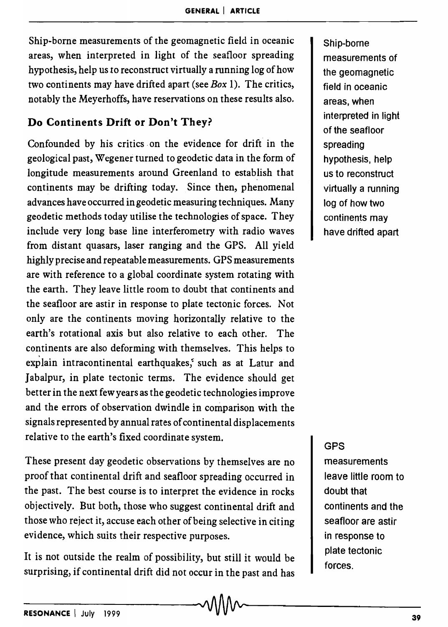Ship-borne measurements of the geomagnetic field in oceanic areas, when interpreted in light of the seafloor spreading hypothesis, help us to reconstruct virtually a running log of how two continents may have drifted apart (see *Box* 1). The critics, notably the Meyerhoffs, have reservations on these results also.

## Do Continents Drift or Don't They?

Confounded by his critics. on the evidence for drift in the geological past, Wegener turned to geodetic data in the form of longitude measurements around Greenland to establish that continents may be drifting today. Since then, phenomenal advances have occurred in geodetic measuring techniques. Many geodetic methods today utilise the technologies of space. They include very long base line interferometry with radio waves from distant quasars, laser ranging and the GPS. All yield highly precise and repeatable measurements. GPS measurements are with reference to a global coordinate system rotating with the earth. They leave little room to doubt that continents and the seafloor are astir in response to plate tectonic forces. Not only are the continents moving horizontally relative to the earth's rotational axis but also relative to each other. The continents are also deforming with themselves. This helps to explain intracontinental earthquakes, such as at Latur and Jabalpur, in plate tectonic terms. The evidence should get better in the next few years as the geodetic technologies improve and the errors of observation dwindle in comparison with the signals represented by annual rates of continental displacements relative to the earth's fixed coordinate system.

These present day geodetic observations by themselves are no proof that continental drift and seafloor spreading occurred in the past. The best course is to interpret the evidence in rocks objectively. But both, those who suggest continental drift and those who reject it, accuse each other of being selective in citing evidence, which suits their respective purposes.

It is not outside the realm of possibility, but still it would be surprising, if continental drift did not occur in the past and has Ship-borne measurements of the geomagnetic field in oceanic areas, when interpreted in light of the seafloor spreading hypothesis, help us to reconstruct virtually a running log of how two continents may have drifted apart

#### GPS

measurements leave little room to doubt that continents and the seafloor are astir in response to plate tectonic forces.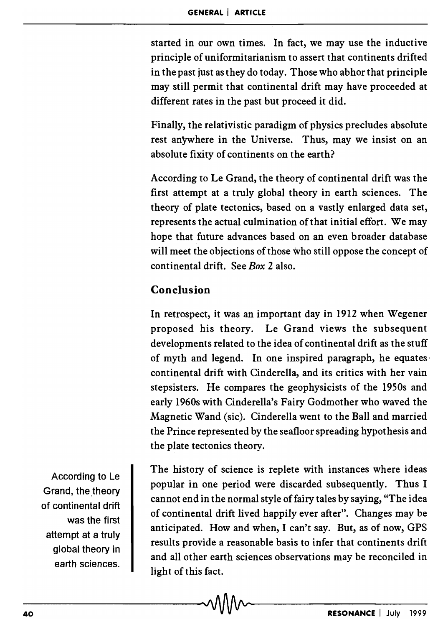started in our own times. In fact, we may use the inductive principle of uniformitarianism to assert that continents drifted in the past just as they do today. Those who abhor that principle may still permit that continental drift may have proceeded at different rates in the past but proceed it did.

Finally, the relativistic paradigm of physics precludes absolute rest anywhere in the Universe. Thus, may we insist on an absolute fixity of continents on the earth?

According to Le Grand, the theory of continental drift was the first attempt at a truly global theory in earth sciences. The theory of plate tectonics, based on a vastly enlarged data set, represents the actual culmination of that initial effort. We may hope that future advances based on an even broader database will meet the objections of those who still oppose the concept of continental drift. See *Box* 2 also.

## Conclusion

In retrospect, it was an important day in 1912 when Wegener proposed his theory. Le Grand views the subsequent developments related to the idea of continental drift as the stuff of myth and legend. In one inspired paragraph, he equates· continental drift with Cinderella, and its critics with her vain stepsisters. He compares the geophysicists of the 1950s and early 1960s with Cinderella's Fairy Godmother who waved the Magnetic Wand (sic). Cinderella went to the Ball and married the Prince represented by the seafloor spreading hypothesis and the plate tectonics theory.

The history of science is replete with instances where ideas popular in one period were discarded subsequently. Thus I cannot end in the normal style of fairy tales by saying, "The idea of continental drift lived happily ever after". Changes may be anticipated. How and when, I can't say. But, as of now, GPS results provide a reasonable basis to infer that continents drift and all other earth sciences observations may be reconciled in light of this fact.

According to Le Grand, the theory of continental drift was the first attempt at a truly global theory in earth sciences.